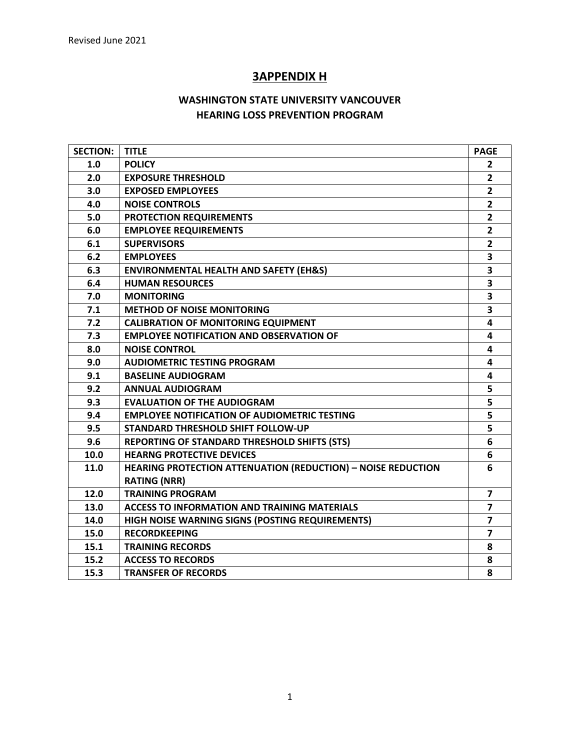# **3APPENDIX H**

# **WASHINGTON STATE UNIVERSITY VANCOUVER HEARING LOSS PREVENTION PROGRAM**

| <b>SECTION:</b> | <b>TITLE</b>                                                        | <b>PAGE</b>             |
|-----------------|---------------------------------------------------------------------|-------------------------|
| 1.0             | <b>POLICY</b>                                                       | $\overline{2}$          |
| 2.0             | <b>EXPOSURE THRESHOLD</b>                                           | $\overline{2}$          |
| 3.0             | <b>EXPOSED EMPLOYEES</b>                                            | $\overline{2}$          |
| 4.0             | <b>NOISE CONTROLS</b>                                               | $\overline{2}$          |
| 5.0             | PROTECTION REQUIREMENTS                                             | $\overline{2}$          |
| 6.0             | <b>EMPLOYEE REQUIREMENTS</b>                                        | $\overline{2}$          |
| 6.1             | <b>SUPERVISORS</b>                                                  | $\overline{2}$          |
| 6.2             | <b>EMPLOYEES</b>                                                    | 3                       |
| 6.3             | <b>ENVIRONMENTAL HEALTH AND SAFETY (EH&amp;S)</b>                   | 3                       |
| 6.4             | <b>HUMAN RESOURCES</b>                                              | 3                       |
| 7.0             | <b>MONITORING</b>                                                   | 3                       |
| 7.1             | <b>METHOD OF NOISE MONITORING</b>                                   | 3                       |
| 7.2             | <b>CALIBRATION OF MONITORING EQUIPMENT</b>                          | 4                       |
| 7.3             | <b>EMPLOYEE NOTIFICATION AND OBSERVATION OF</b>                     | 4                       |
| 8.0             | <b>NOISE CONTROL</b>                                                | 4                       |
| 9.0             | <b>AUDIOMETRIC TESTING PROGRAM</b>                                  | 4                       |
| 9.1             | <b>BASELINE AUDIOGRAM</b>                                           | 4                       |
| 9.2             | <b>ANNUAL AUDIOGRAM</b>                                             | 5                       |
| 9.3             | <b>EVALUATION OF THE AUDIOGRAM</b>                                  | 5                       |
| 9.4             | <b>EMPLOYEE NOTIFICATION OF AUDIOMETRIC TESTING</b>                 | 5                       |
| 9.5             | <b>STANDARD THRESHOLD SHIFT FOLLOW-UP</b>                           | 5                       |
| 9.6             | REPORTING OF STANDARD THRESHOLD SHIFTS (STS)                        | 6                       |
| 10.0            | <b>HEARNG PROTECTIVE DEVICES</b>                                    | 6                       |
| 11.0            | <b>HEARING PROTECTION ATTENUATION (REDUCTION) - NOISE REDUCTION</b> | 6                       |
|                 | <b>RATING (NRR)</b>                                                 |                         |
| 12.0            | <b>TRAINING PROGRAM</b>                                             | $\overline{\mathbf{z}}$ |
| 13.0            | <b>ACCESS TO INFORMATION AND TRAINING MATERIALS</b>                 | $\overline{\mathbf{z}}$ |
| 14.0            | HIGH NOISE WARNING SIGNS (POSTING REQUIREMENTS)                     | $\overline{7}$          |
| 15.0            | <b>RECORDKEEPING</b>                                                | $\overline{7}$          |
| 15.1            | <b>TRAINING RECORDS</b>                                             | 8                       |
| 15.2            | <b>ACCESS TO RECORDS</b>                                            | 8                       |
| 15.3            | <b>TRANSFER OF RECORDS</b>                                          | 8                       |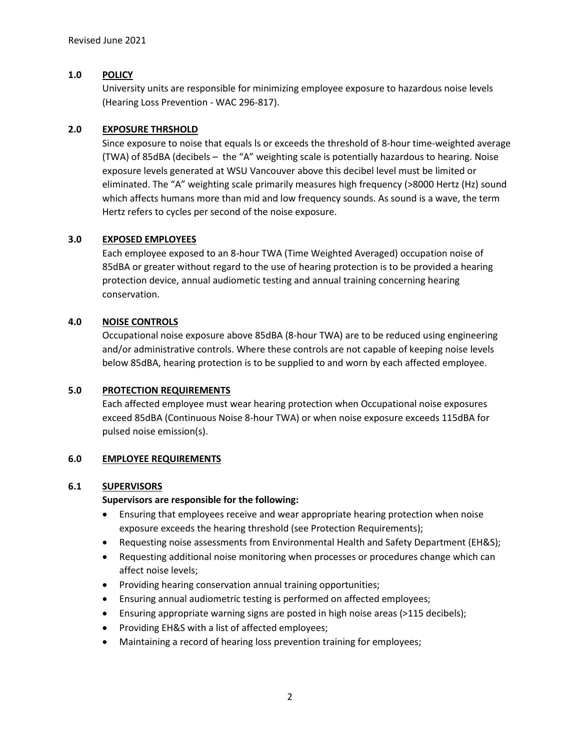# **1.0 POLICY**

University units are responsible for minimizing employee exposure to hazardous noise levels (Hearing Loss Prevention - WAC 296-817).

# **2.0 EXPOSURE THRSHOLD**

Since exposure to noise that equals ls or exceeds the threshold of 8-hour time-weighted average (TWA) of 85dBA (decibels – the "A" weighting scale is potentially hazardous to hearing. Noise exposure levels generated at WSU Vancouver above this decibel level must be limited or eliminated. The "A" weighting scale primarily measures high frequency (>8000 Hertz (Hz) sound which affects humans more than mid and low frequency sounds. As sound is a wave, the term Hertz refers to cycles per second of the noise exposure.

# **3.0 EXPOSED EMPLOYEES**

Each employee exposed to an 8-hour TWA (Time Weighted Averaged) occupation noise of 85dBA or greater without regard to the use of hearing protection is to be provided a hearing protection device, annual audiometic testing and annual training concerning hearing conservation.

# **4.0 NOISE CONTROLS**

Occupational noise exposure above 85dBA (8-hour TWA) are to be reduced using engineering and/or administrative controls. Where these controls are not capable of keeping noise levels below 85dBA, hearing protection is to be supplied to and worn by each affected employee.

#### **5.0 PROTECTION REQUIREMENTS**

Each affected employee must wear hearing protection when Occupational noise exposures exceed 85dBA (Continuous Noise 8-hour TWA) or when noise exposure exceeds 115dBA for pulsed noise emission(s).

#### **6.0 EMPLOYEE REQUIREMENTS**

#### **6.1 SUPERVISORS**

#### **Supervisors are responsible for the following:**

- Ensuring that employees receive and wear appropriate hearing protection when noise exposure exceeds the hearing threshold (see Protection Requirements);
- Requesting noise assessments from Environmental Health and Safety Department (EH&S);
- Requesting additional noise monitoring when processes or procedures change which can affect noise levels;
- Providing hearing conservation annual training opportunities;
- Ensuring annual audiometric testing is performed on affected employees;
- Ensuring appropriate warning signs are posted in high noise areas (>115 decibels);
- Providing EH&S with a list of affected employees;
- Maintaining a record of hearing loss prevention training for employees;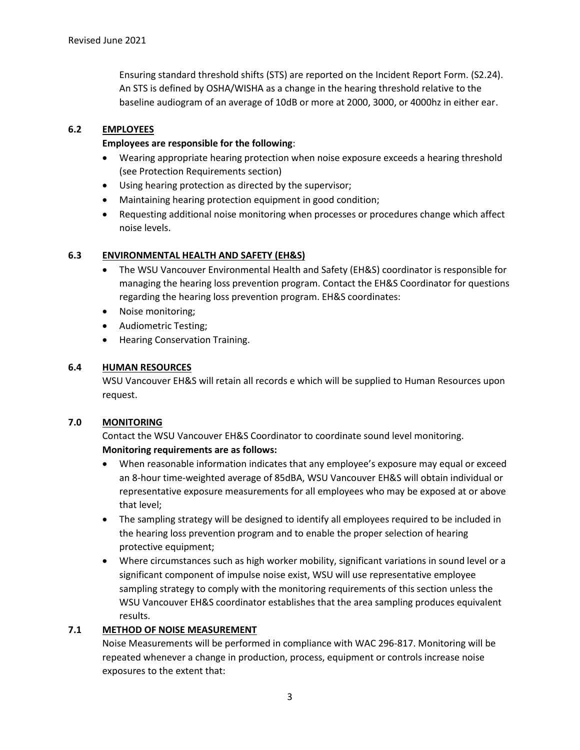Ensuring standard threshold shifts (STS) are reported on the Incident Report Form. (S2.24). An STS is defined by OSHA/WISHA as a change in the hearing threshold relative to the baseline audiogram of an average of 10dB or more at 2000, 3000, or 4000hz in either ear.

# **6.2 EMPLOYEES**

# **Employees are responsible for the following**:

- Wearing appropriate hearing protection when noise exposure exceeds a hearing threshold (see Protection Requirements section)
- Using hearing protection as directed by the supervisor;
- Maintaining hearing protection equipment in good condition;
- Requesting additional noise monitoring when processes or procedures change which affect noise levels.

# **6.3 ENVIRONMENTAL HEALTH AND SAFETY (EH&S)**

- The WSU Vancouver Environmental Health and Safety (EH&S) coordinator is responsible for managing the hearing loss prevention program. Contact the EH&S Coordinator for questions regarding the hearing loss prevention program. EH&S coordinates:
- Noise monitoring;
- Audiometric Testing;
- Hearing Conservation Training.

# **6.4 HUMAN RESOURCES**

WSU Vancouver EH&S will retain all records e which will be supplied to Human Resources upon request.

#### **7.0 MONITORING**

Contact the WSU Vancouver EH&S Coordinator to coordinate sound level monitoring. **Monitoring requirements are as follows:** 

- When reasonable information indicates that any employee's exposure may equal or exceed an 8-hour time-weighted average of 85dBA, WSU Vancouver EH&S will obtain individual or representative exposure measurements for all employees who may be exposed at or above that level;
- The sampling strategy will be designed to identify all employees required to be included in the hearing loss prevention program and to enable the proper selection of hearing protective equipment;
- Where circumstances such as high worker mobility, significant variations in sound level or a significant component of impulse noise exist, WSU will use representative employee sampling strategy to comply with the monitoring requirements of this section unless the WSU Vancouver EH&S coordinator establishes that the area sampling produces equivalent results.

# **7.1 METHOD OF NOISE MEASUREMENT**

Noise Measurements will be performed in compliance with WAC 296-817. Monitoring will be repeated whenever a change in production, process, equipment or controls increase noise exposures to the extent that: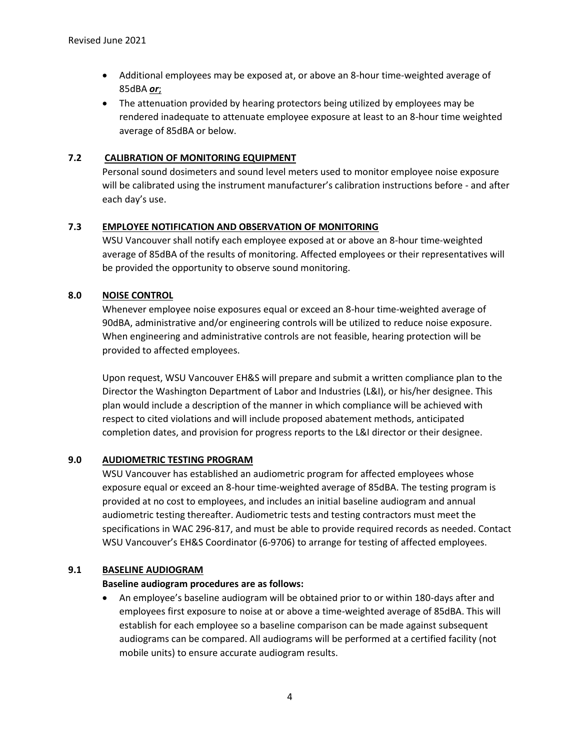- Additional employees may be exposed at, or above an 8-hour time-weighted average of 85dBA *or*;
- The attenuation provided by hearing protectors being utilized by employees may be rendered inadequate to attenuate employee exposure at least to an 8-hour time weighted average of 85dBA or below.

# **7.2 CALIBRATION OF MONITORING EQUIPMENT**

Personal sound dosimeters and sound level meters used to monitor employee noise exposure will be calibrated using the instrument manufacturer's calibration instructions before - and after each day's use.

# **7.3 EMPLOYEE NOTIFICATION AND OBSERVATION OF MONITORING**

WSU Vancouver shall notify each employee exposed at or above an 8-hour time-weighted average of 85dBA of the results of monitoring. Affected employees or their representatives will be provided the opportunity to observe sound monitoring.

# **8.0 NOISE CONTROL**

Whenever employee noise exposures equal or exceed an 8-hour time-weighted average of 90dBA, administrative and/or engineering controls will be utilized to reduce noise exposure. When engineering and administrative controls are not feasible, hearing protection will be provided to affected employees.

Upon request, WSU Vancouver EH&S will prepare and submit a written compliance plan to the Director the Washington Department of Labor and Industries (L&I), or his/her designee. This plan would include a description of the manner in which compliance will be achieved with respect to cited violations and will include proposed abatement methods, anticipated completion dates, and provision for progress reports to the L&I director or their designee.

#### **9.0 AUDIOMETRIC TESTING PROGRAM**

WSU Vancouver has established an audiometric program for affected employees whose exposure equal or exceed an 8-hour time-weighted average of 85dBA. The testing program is provided at no cost to employees, and includes an initial baseline audiogram and annual audiometric testing thereafter. Audiometric tests and testing contractors must meet the specifications in WAC 296-817, and must be able to provide required records as needed. Contact WSU Vancouver's EH&S Coordinator (6-9706) to arrange for testing of affected employees.

#### **9.1 BASELINE AUDIOGRAM**

#### **Baseline audiogram procedures are as follows:**

• An employee's baseline audiogram will be obtained prior to or within 180-days after and employees first exposure to noise at or above a time-weighted average of 85dBA. This will establish for each employee so a baseline comparison can be made against subsequent audiograms can be compared. All audiograms will be performed at a certified facility (not mobile units) to ensure accurate audiogram results.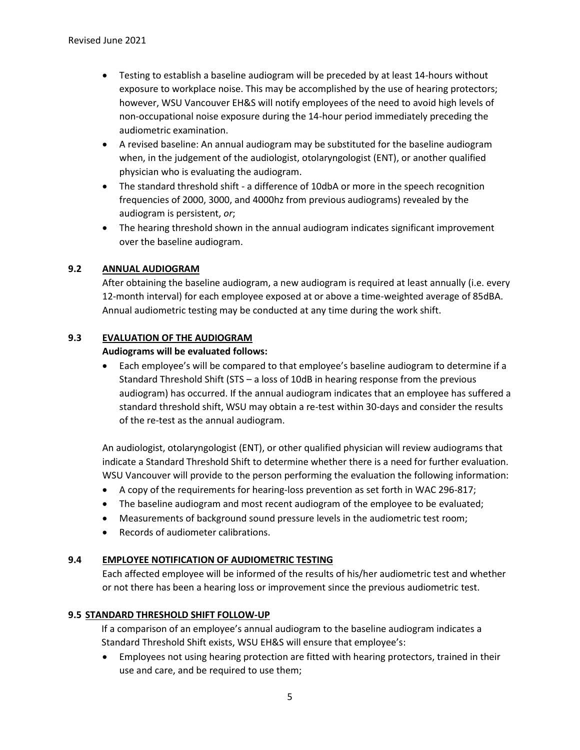- Testing to establish a baseline audiogram will be preceded by at least 14-hours without exposure to workplace noise. This may be accomplished by the use of hearing protectors; however, WSU Vancouver EH&S will notify employees of the need to avoid high levels of non-occupational noise exposure during the 14-hour period immediately preceding the audiometric examination.
- A revised baseline: An annual audiogram may be substituted for the baseline audiogram when, in the judgement of the audiologist, otolaryngologist (ENT), or another qualified physician who is evaluating the audiogram.
- The standard threshold shift a difference of 10dbA or more in the speech recognition frequencies of 2000, 3000, and 4000hz from previous audiograms) revealed by the audiogram is persistent, *or*;
- The hearing threshold shown in the annual audiogram indicates significant improvement over the baseline audiogram.

# **9.2 ANNUAL AUDIOGRAM**

After obtaining the baseline audiogram, a new audiogram is required at least annually (i.e. every 12-month interval) for each employee exposed at or above a time-weighted average of 85dBA. Annual audiometric testing may be conducted at any time during the work shift.

#### **9.3 EVALUATION OF THE AUDIOGRAM**

#### **Audiograms will be evaluated follows:**

• Each employee's will be compared to that employee's baseline audiogram to determine if a Standard Threshold Shift (STS – a loss of 10dB in hearing response from the previous audiogram) has occurred. If the annual audiogram indicates that an employee has suffered a standard threshold shift, WSU may obtain a re-test within 30-days and consider the results of the re-test as the annual audiogram.

An audiologist, otolaryngologist (ENT), or other qualified physician will review audiograms that indicate a Standard Threshold Shift to determine whether there is a need for further evaluation. WSU Vancouver will provide to the person performing the evaluation the following information:

- A copy of the requirements for hearing-loss prevention as set forth in WAC 296-817;
- The baseline audiogram and most recent audiogram of the employee to be evaluated;
- Measurements of background sound pressure levels in the audiometric test room;
- Records of audiometer calibrations.

#### **9.4 EMPLOYEE NOTIFICATION OF AUDIOMETRIC TESTING**

Each affected employee will be informed of the results of his/her audiometric test and whether or not there has been a hearing loss or improvement since the previous audiometric test.

#### **9.5 STANDARD THRESHOLD SHIFT FOLLOW-UP**

If a comparison of an employee's annual audiogram to the baseline audiogram indicates a Standard Threshold Shift exists, WSU EH&S will ensure that employee's:

• Employees not using hearing protection are fitted with hearing protectors, trained in their use and care, and be required to use them;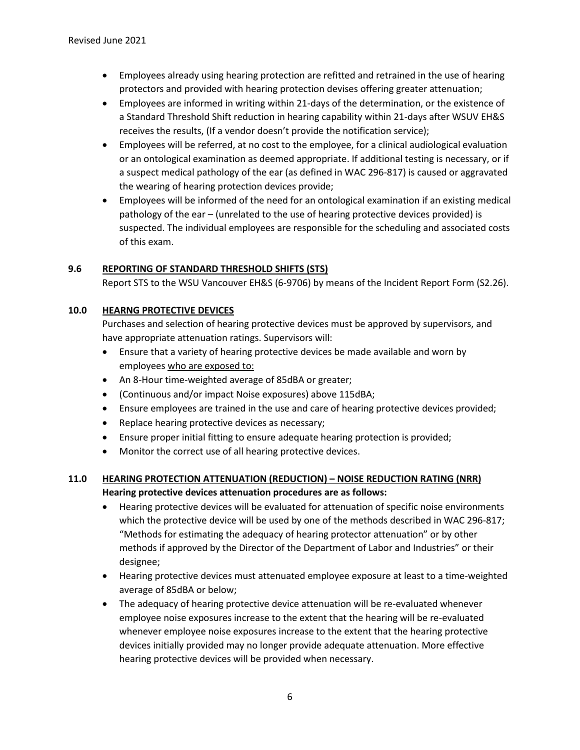- Employees already using hearing protection are refitted and retrained in the use of hearing protectors and provided with hearing protection devises offering greater attenuation;
- Employees are informed in writing within 21-days of the determination, or the existence of a Standard Threshold Shift reduction in hearing capability within 21-days after WSUV EH&S receives the results, (If a vendor doesn't provide the notification service);
- Employees will be referred, at no cost to the employee, for a clinical audiological evaluation or an ontological examination as deemed appropriate. If additional testing is necessary, or if a suspect medical pathology of the ear (as defined in WAC 296-817) is caused or aggravated the wearing of hearing protection devices provide;
- Employees will be informed of the need for an ontological examination if an existing medical pathology of the ear – (unrelated to the use of hearing protective devices provided) is suspected. The individual employees are responsible for the scheduling and associated costs of this exam.

# **9.6 REPORTING OF STANDARD THRESHOLD SHIFTS (STS)**

Report STS to the WSU Vancouver EH&S (6-9706) by means of the Incident Report Form (S2.26).

# **10.0 HEARNG PROTECTIVE DEVICES**

Purchases and selection of hearing protective devices must be approved by supervisors, and have appropriate attenuation ratings. Supervisors will:

- Ensure that a variety of hearing protective devices be made available and worn by employees who are exposed to:
- An 8-Hour time-weighted average of 85dBA or greater;
- (Continuous and/or impact Noise exposures) above 115dBA;
- Ensure employees are trained in the use and care of hearing protective devices provided;
- Replace hearing protective devices as necessary;
- Ensure proper initial fitting to ensure adequate hearing protection is provided;
- Monitor the correct use of all hearing protective devices.

# **11.0 HEARING PROTECTION ATTENUATION (REDUCTION) – NOISE REDUCTION RATING (NRR) Hearing protective devices attenuation procedures are as follows:**

- Hearing protective devices will be evaluated for attenuation of specific noise environments which the protective device will be used by one of the methods described in WAC 296-817; "Methods for estimating the adequacy of hearing protector attenuation" or by other methods if approved by the Director of the Department of Labor and Industries" or their designee;
- Hearing protective devices must attenuated employee exposure at least to a time-weighted average of 85dBA or below;
- The adequacy of hearing protective device attenuation will be re-evaluated whenever employee noise exposures increase to the extent that the hearing will be re-evaluated whenever employee noise exposures increase to the extent that the hearing protective devices initially provided may no longer provide adequate attenuation. More effective hearing protective devices will be provided when necessary.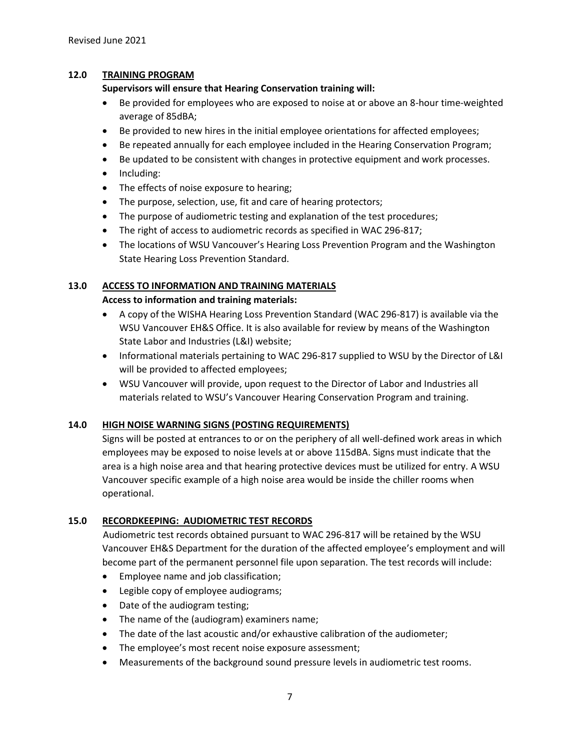# **12.0 TRAINING PROGRAM**

# **Supervisors will ensure that Hearing Conservation training will:**

- Be provided for employees who are exposed to noise at or above an 8-hour time-weighted average of 85dBA;
- Be provided to new hires in the initial employee orientations for affected employees;
- Be repeated annually for each employee included in the Hearing Conservation Program;
- Be updated to be consistent with changes in protective equipment and work processes.
- Including:
- The effects of noise exposure to hearing;
- The purpose, selection, use, fit and care of hearing protectors;
- The purpose of audiometric testing and explanation of the test procedures;
- The right of access to audiometric records as specified in WAC 296-817;
- The locations of WSU Vancouver's Hearing Loss Prevention Program and the Washington State Hearing Loss Prevention Standard.

# **13.0 ACCESS TO INFORMATION AND TRAINING MATERIALS**

#### **Access to information and training materials:**

- A copy of the WISHA Hearing Loss Prevention Standard (WAC 296-817) is available via the WSU Vancouver EH&S Office. It is also available for review by means of the Washington State Labor and Industries (L&I) website;
- Informational materials pertaining to WAC 296-817 supplied to WSU by the Director of L&I will be provided to affected employees;
- WSU Vancouver will provide, upon request to the Director of Labor and Industries all materials related to WSU's Vancouver Hearing Conservation Program and training.

#### **14.0 HIGH NOISE WARNING SIGNS (POSTING REQUIREMENTS)**

Signs will be posted at entrances to or on the periphery of all well-defined work areas in which employees may be exposed to noise levels at or above 115dBA. Signs must indicate that the area is a high noise area and that hearing protective devices must be utilized for entry. A WSU Vancouver specific example of a high noise area would be inside the chiller rooms when operational.

# **15.0 RECORDKEEPING: AUDIOMETRIC TEST RECORDS**

Audiometric test records obtained pursuant to WAC 296-817 will be retained by the WSU Vancouver EH&S Department for the duration of the affected employee's employment and will become part of the permanent personnel file upon separation. The test records will include:

- Employee name and job classification;
- Legible copy of employee audiograms;
- Date of the audiogram testing;
- The name of the (audiogram) examiners name;
- The date of the last acoustic and/or exhaustive calibration of the audiometer;
- The employee's most recent noise exposure assessment;
- Measurements of the background sound pressure levels in audiometric test rooms.